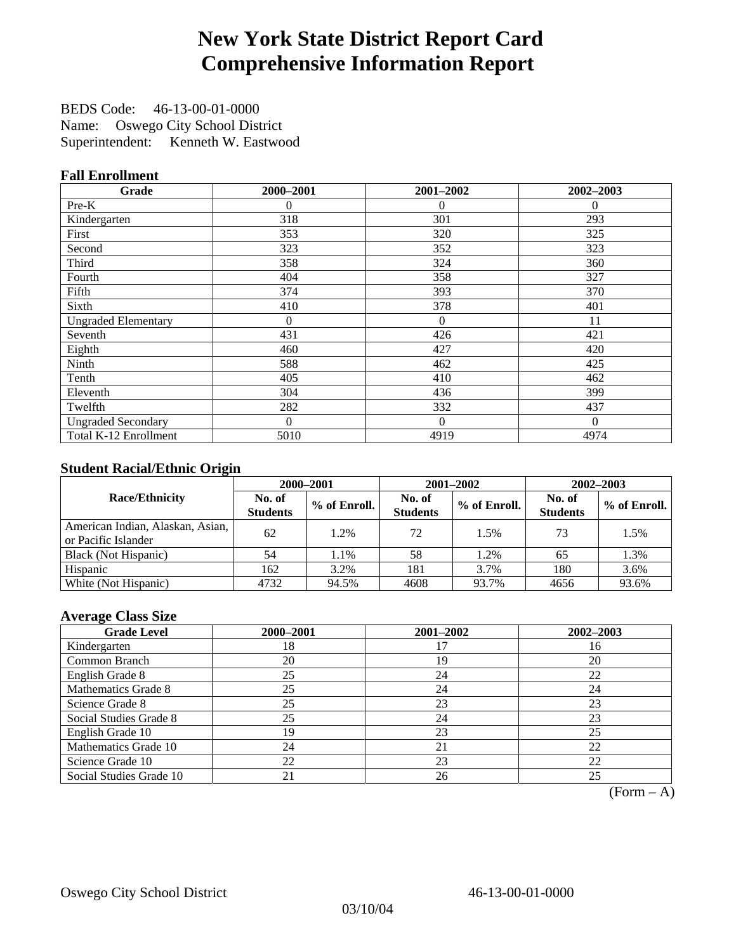## **New York State District Report Card Comprehensive Information Report**

BEDS Code: 46-13-00-01-0000 Name: Oswego City School District Superintendent: Kenneth W. Eastwood

#### **Fall Enrollment**

| Grade                      | 2000-2001 | 2001-2002 | 2002-2003 |
|----------------------------|-----------|-----------|-----------|
| $Pre-K$                    | 0         | 0         | $\theta$  |
| Kindergarten               | 318       | 301       | 293       |
| First                      | 353       | 320       | 325       |
| Second                     | 323       | 352       | 323       |
| Third                      | 358       | 324       | 360       |
| Fourth                     | 404       | 358       | 327       |
| Fifth                      | 374       | 393       | 370       |
| Sixth                      | 410       | 378       | 401       |
| <b>Ungraded Elementary</b> | $\theta$  | $\theta$  | 11        |
| Seventh                    | 431       | 426       | 421       |
| Eighth                     | 460       | 427       | 420       |
| Ninth                      | 588       | 462       | 425       |
| Tenth                      | 405       | 410       | 462       |
| Eleventh                   | 304       | 436       | 399       |
| Twelfth                    | 282       | 332       | 437       |
| <b>Ungraded Secondary</b>  | $\Omega$  | $\theta$  | $\Omega$  |
| Total K-12 Enrollment      | 5010      | 4919      | 4974      |

#### **Student Racial/Ethnic Origin**

|                                                         |                           | 2000-2001<br>2001-2002<br>$2002 - 2003$ |                           |              |                           |                |
|---------------------------------------------------------|---------------------------|-----------------------------------------|---------------------------|--------------|---------------------------|----------------|
| <b>Race/Ethnicity</b>                                   | No. of<br><b>Students</b> | % of Enroll.                            | No. of<br><b>Students</b> | % of Enroll. | No. of<br><b>Students</b> | $%$ of Enroll. |
| American Indian, Alaskan, Asian,<br>or Pacific Islander | 62                        | 1.2%                                    | 72                        | 1.5%         | 73                        | 1.5%           |
| Black (Not Hispanic)                                    | 54                        | 1.1%                                    | 58                        | 1.2%         | 65                        | 1.3%           |
| Hispanic                                                | 162                       | 3.2%                                    | 181                       | 3.7%         | 180                       | 3.6%           |
| White (Not Hispanic)                                    | 4732                      | 94.5%                                   | 4608                      | 93.7%        | 4656                      | 93.6%          |

#### **Average Class Size**

| <b>Grade Level</b>      | 2000-2001 | 2001-2002 | 2002-2003 |
|-------------------------|-----------|-----------|-----------|
| Kindergarten            | 18        |           | 16        |
| Common Branch           | 20        | 19        | 20        |
| English Grade 8         | 25        | 24        | 22        |
| Mathematics Grade 8     | 25        | 24        | 24        |
| Science Grade 8         | 25        | 23        | 23        |
| Social Studies Grade 8  | 25        | 24        | 23        |
| English Grade 10        | 19        | 23        | 25        |
| Mathematics Grade 10    | 24        | 21        | 22        |
| Science Grade 10        | 22        | 23        | 22        |
| Social Studies Grade 10 | 21        | 26        | 25        |

 $(Form - A)$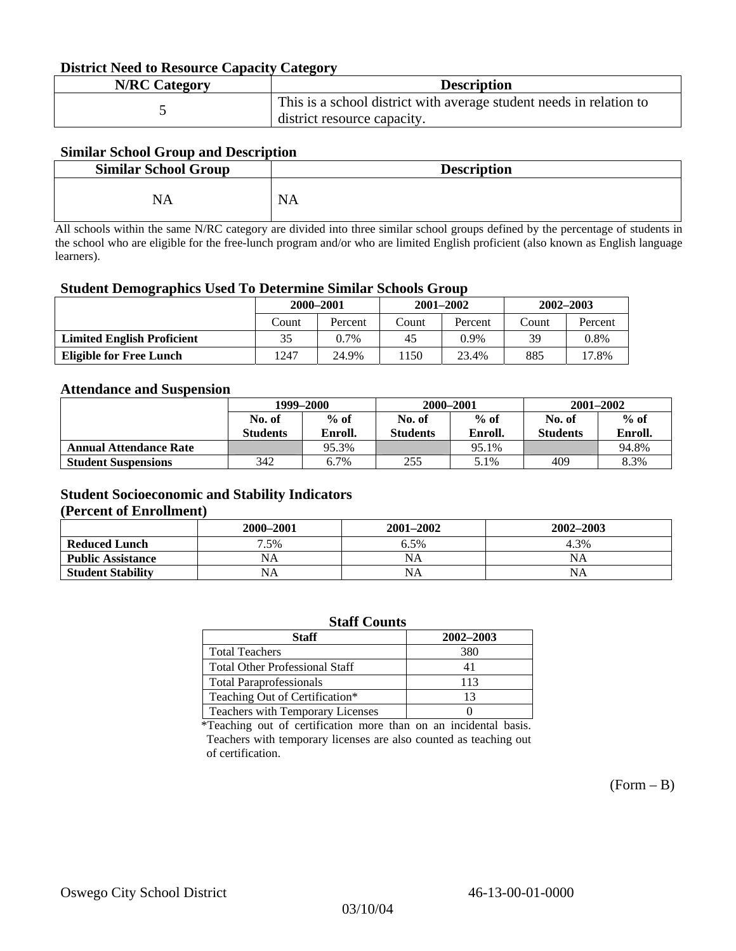#### **District Need to Resource Capacity Category**

| <b>N/RC Category</b> | <b>Description</b>                                                                                 |
|----------------------|----------------------------------------------------------------------------------------------------|
|                      | This is a school district with average student needs in relation to<br>district resource capacity. |

#### **Similar School Group and Description**

| <b>Similar School Group</b> | <b>Description</b> |
|-----------------------------|--------------------|
| NA                          | <b>NA</b>          |

All schools within the same N/RC category are divided into three similar school groups defined by the percentage of students in the school who are eligible for the free-lunch program and/or who are limited English proficient (also known as English language learners).

#### **Student Demographics Used To Determine Similar Schools Group**

| 0                                 |           |         |       |               |               |         |  |
|-----------------------------------|-----------|---------|-------|---------------|---------------|---------|--|
|                                   | 2000-2001 |         |       | $2001 - 2002$ | $2002 - 2003$ |         |  |
|                                   | Count     | Percent | Count | Percent       | Count         | Percent |  |
| <b>Limited English Proficient</b> | 35        | $0.7\%$ | 45    | 0.9%          | 39            | $0.8\%$ |  |
| Eligible for Free Lunch           | 1247      | 24.9%   | 1150  | 23.4%         | 885           | 17.8%   |  |

#### **Attendance and Suspension**

|                               | 1999–2000       |         |                 | 2000-2001 | $2001 - 2002$   |         |
|-------------------------------|-----------------|---------|-----------------|-----------|-----------------|---------|
|                               | No. of          | $%$ of  | No. of          | $%$ of    | No. of          | $%$ of  |
|                               | <b>Students</b> | Enroll. | <b>Students</b> | Enroll.   | <b>Students</b> | Enroll. |
| <b>Annual Attendance Rate</b> |                 | 95.3%   |                 | 95.1%     |                 | 94.8%   |
| <b>Student Suspensions</b>    | 342             | 6.7%    | 255             | 5.1%      | 409             | 8.3%    |

### **Student Socioeconomic and Stability Indicators**

#### **(Percent of Enrollment)**

|                          | 2000-2001 | $2001 - 2002$ | 2002-2003 |
|--------------------------|-----------|---------------|-----------|
| <b>Reduced Lunch</b>     | .5%       | 6.5%          | 4.3%      |
| <b>Public Assistance</b> | NA        | NA            | NΑ        |
| <b>Student Stability</b> | NA        | NA            | NΑ        |

| <b>Staff Counts</b>                   |     |  |  |  |  |  |
|---------------------------------------|-----|--|--|--|--|--|
| 2002-2003<br><b>Staff</b>             |     |  |  |  |  |  |
| <b>Total Teachers</b>                 | 380 |  |  |  |  |  |
| <b>Total Other Professional Staff</b> |     |  |  |  |  |  |
| <b>Total Paraprofessionals</b>        | 113 |  |  |  |  |  |
| Teaching Out of Certification*        | 13  |  |  |  |  |  |
| Teachers with Temporary Licenses      |     |  |  |  |  |  |

\*Teaching out of certification more than on an incidental basis. Teachers with temporary licenses are also counted as teaching out of certification.

 $(Form - B)$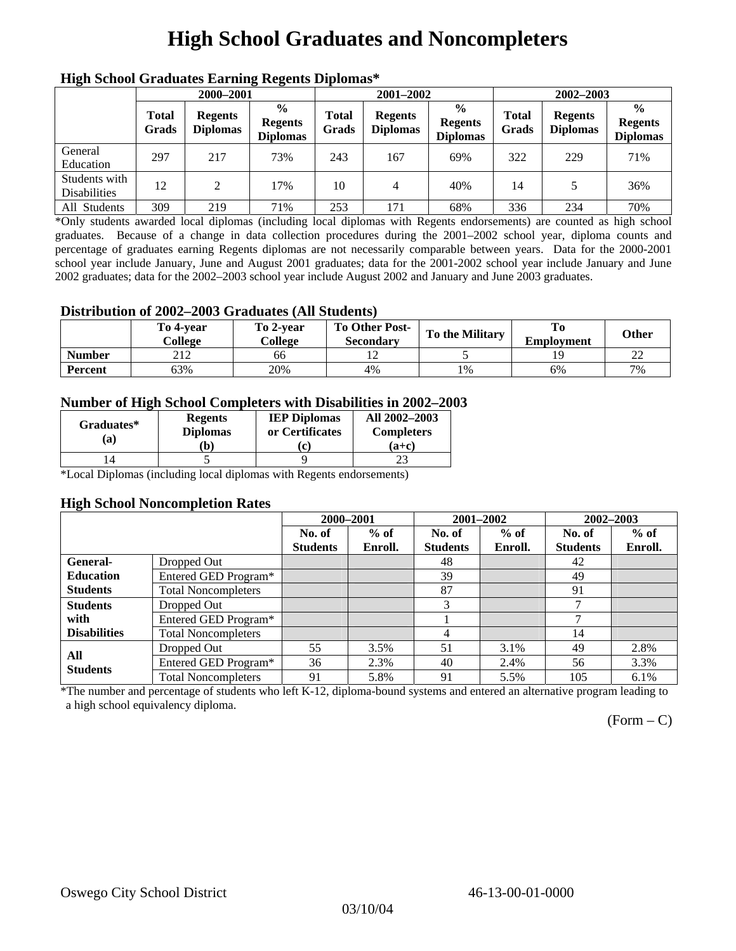## **High School Graduates and Noncompleters**

| ніді эспол этайнакі патінід кеденія вірюшая |                       |                                   |                                                    |                       |                                   |                                                    |                       |                                   |                                                    |  |
|---------------------------------------------|-----------------------|-----------------------------------|----------------------------------------------------|-----------------------|-----------------------------------|----------------------------------------------------|-----------------------|-----------------------------------|----------------------------------------------------|--|
|                                             | 2000-2001             |                                   |                                                    |                       | 2001-2002                         |                                                    |                       | 2002-2003                         |                                                    |  |
|                                             | <b>Total</b><br>Grads | <b>Regents</b><br><b>Diplomas</b> | $\frac{0}{0}$<br><b>Regents</b><br><b>Diplomas</b> | <b>Total</b><br>Grads | <b>Regents</b><br><b>Diplomas</b> | $\frac{6}{6}$<br><b>Regents</b><br><b>Diplomas</b> | <b>Total</b><br>Grads | <b>Regents</b><br><b>Diplomas</b> | $\frac{0}{0}$<br><b>Regents</b><br><b>Diplomas</b> |  |
| General<br>Education                        | 297                   | 217                               | 73%                                                | 243                   | 167                               | 69%                                                | 322                   | 229                               | 71%                                                |  |
| Students with<br><b>Disabilities</b>        | 12                    | 2                                 | 17%                                                | 10                    | 4                                 | 40%                                                | 14                    |                                   | 36%                                                |  |
| All Students                                | 309                   | 219                               | 71%                                                | 253                   | 171                               | 68%                                                | 336                   | 234                               | 70%                                                |  |

### **High School Graduates Earning Regents Diplomas\***

\*Only students awarded local diplomas (including local diplomas with Regents endorsements) are counted as high school graduates. Because of a change in data collection procedures during the 2001–2002 school year, diploma counts and percentage of graduates earning Regents diplomas are not necessarily comparable between years. Data for the 2000-2001 school year include January, June and August 2001 graduates; data for the 2001-2002 school year include January and June 2002 graduates; data for the 2002–2003 school year include August 2002 and January and June 2003 graduates.

#### **Distribution of 2002–2003 Graduates (All Students)**

|               | To 4-vear<br>College | To 2-vear<br>College | <b>To Other Post-</b><br>Secondary | <b>To the Military</b> | To<br><b>Employment</b> | <b>Other</b> |
|---------------|----------------------|----------------------|------------------------------------|------------------------|-------------------------|--------------|
| <b>Number</b> | າ 1 າ<br>41 A        | 66                   | ┸                                  |                        |                         | $\sim$<br>∠∠ |
| Percent       | <b>53%</b>           | 20%                  | 4%                                 | 1%                     | 6%                      | 7%           |

#### **Number of High School Completers with Disabilities in 2002–2003**

| Graduates*<br>(a) | <b>Regents</b><br><b>Diplomas</b><br>b) | <b>IEP Diplomas</b><br>or Certificates<br>'c. | All 2002-2003<br><b>Completers</b><br>(a+c) |
|-------------------|-----------------------------------------|-----------------------------------------------|---------------------------------------------|
|                   |                                         |                                               |                                             |

\*Local Diplomas (including local diplomas with Regents endorsements)

#### **High School Noncompletion Rates**

|                        |                            | 2000-2001       |         | 2001-2002       |         |                 | 2002-2003 |
|------------------------|----------------------------|-----------------|---------|-----------------|---------|-----------------|-----------|
|                        |                            | No. of          | $%$ of  | No. of          | $%$ of  | No. of          | $%$ of    |
|                        |                            | <b>Students</b> | Enroll. | <b>Students</b> | Enroll. | <b>Students</b> | Enroll.   |
| <b>General-</b>        | Dropped Out                |                 |         | 48              |         | 42              |           |
| <b>Education</b>       | Entered GED Program*       |                 |         | 39              |         | 49              |           |
| <b>Students</b>        | <b>Total Noncompleters</b> |                 |         | 87              |         | 91              |           |
| <b>Students</b>        | Dropped Out                |                 |         | 3               |         | -               |           |
| with                   | Entered GED Program*       |                 |         |                 |         | -               |           |
| <b>Disabilities</b>    | <b>Total Noncompleters</b> |                 |         | 4               |         | 14              |           |
|                        | Dropped Out                | 55              | 3.5%    | 51              | 3.1%    | 49              | 2.8%      |
| All<br><b>Students</b> | Entered GED Program*       | 36              | 2.3%    | 40              | 2.4%    | 56              | 3.3%      |
|                        | <b>Total Noncompleters</b> | 91              | 5.8%    | 91              | 5.5%    | 105             | 6.1%      |

\*The number and percentage of students who left K-12, diploma-bound systems and entered an alternative program leading to a high school equivalency diploma.

 $(Form - C)$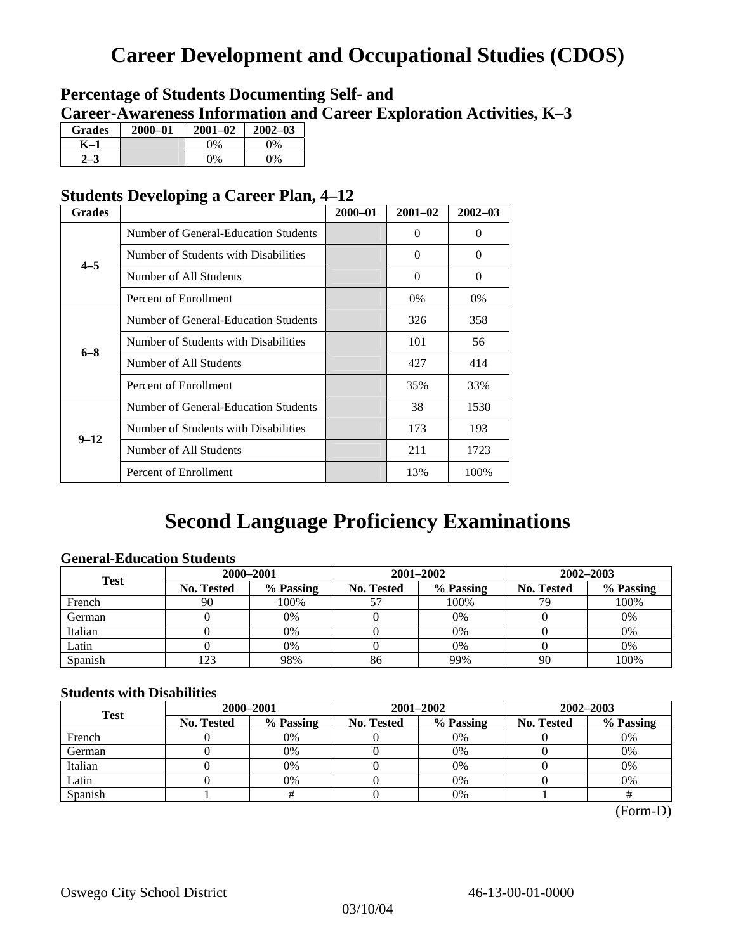## **Career Development and Occupational Studies (CDOS)**

## **Percentage of Students Documenting Self- and Career-Awareness Information and Career Exploration Activities, K–3**

| <b>Grades</b> | 2000-01 | $2001 - 02$ | $2002 - 03$ |
|---------------|---------|-------------|-------------|
| K–1           |         | $0\%$       | $0\%$       |
|               |         | $0\%$       | 9%          |

## **Students Developing a Career Plan, 4–12**

| <b>Grades</b> |                                      | $2000 - 01$ | $2001 - 02$ | $2002 - 03$ |
|---------------|--------------------------------------|-------------|-------------|-------------|
|               | Number of General-Education Students |             | $\Omega$    | $\theta$    |
| $4 - 5$       | Number of Students with Disabilities |             | 0           | $\Omega$    |
|               | Number of All Students               |             | $\theta$    | $\Omega$    |
|               | Percent of Enrollment                |             | $0\%$       | 0%          |
|               | Number of General-Education Students |             | 326         | 358         |
|               | Number of Students with Disabilities |             | 101         | 56          |
| $6 - 8$       | Number of All Students               |             | 427         | 414         |
|               | Percent of Enrollment                |             | 35%         | 33%         |
|               | Number of General-Education Students |             | 38          | 1530        |
|               | Number of Students with Disabilities |             | 173         | 193         |
| $9 - 12$      | Number of All Students               |             | 211         | 1723        |
|               | Percent of Enrollment                |             | 13%         | 100%        |

## **Second Language Proficiency Examinations**

### **General-Education Students**

| <b>Test</b> | 2000-2001                                           |       |           | 2001-2002         | 2002-2003 |      |  |
|-------------|-----------------------------------------------------|-------|-----------|-------------------|-----------|------|--|
|             | % Passing<br><b>No. Tested</b><br><b>No. Tested</b> |       | % Passing | <b>No. Tested</b> | % Passing |      |  |
| French      | 90                                                  | 100%  |           | 100%              | 79        | 100% |  |
| German      |                                                     | $0\%$ |           | $0\%$             |           | 0%   |  |
| Italian     |                                                     | 0%    |           | 0%                |           | 0%   |  |
| Latin       |                                                     | 0%    |           | $0\%$             |           | 0%   |  |
| Spanish     | 123                                                 | 98%   | 86        | 99%               | 90        | 100% |  |

#### **Students with Disabilities**

| <b>Test</b> | 2000-2001         |                         |  | 2001-2002 | 2002-2003         |           |  |
|-------------|-------------------|-------------------------|--|-----------|-------------------|-----------|--|
|             | <b>No. Tested</b> | % Passing<br>No. Tested |  | % Passing | <b>No. Tested</b> | % Passing |  |
| French      |                   | 0%                      |  | $0\%$     |                   | 0%        |  |
| German      |                   | 0%                      |  | $0\%$     |                   | 0%        |  |
| Italian     |                   | 0%                      |  | 0%        |                   | 0%        |  |
| Latin       |                   | 0%                      |  | 0%        |                   | 0%        |  |
| Spanish     |                   |                         |  | 0%        |                   |           |  |

(Form-D)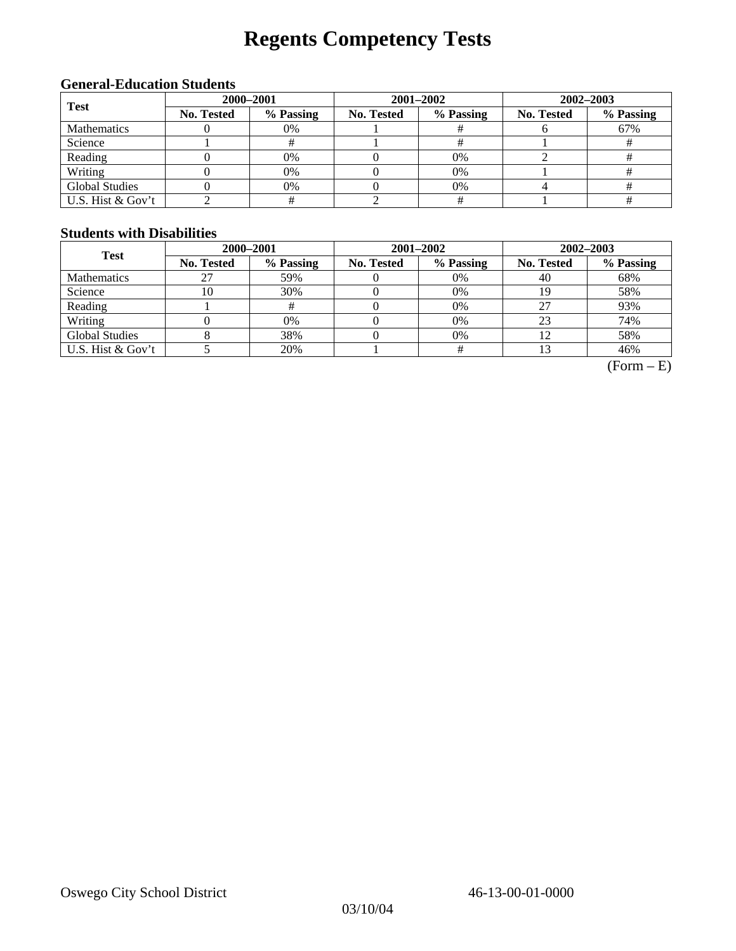# **Regents Competency Tests**

### **General-Education Students**

| <b>Test</b>           | 2000-2001  |           |            |                                                              | 2002-2003 |     |  |
|-----------------------|------------|-----------|------------|--------------------------------------------------------------|-----------|-----|--|
|                       | No. Tested | % Passing | No. Tested | 2001-2002<br>% Passing<br>No. Tested<br>$0\%$<br>$0\%$<br>0% | % Passing |     |  |
| <b>Mathematics</b>    |            | 0%        |            |                                                              |           | 67% |  |
| Science               |            |           |            |                                                              |           |     |  |
| Reading               |            | 0%        |            |                                                              |           |     |  |
| Writing               |            | 0%        |            |                                                              |           |     |  |
| <b>Global Studies</b> |            | 0%        |            |                                                              |           |     |  |
| U.S. Hist & Gov't     |            |           |            |                                                              |           |     |  |

#### **Students with Disabilities**

| <b>Test</b>           | 2000-2001         |           |            | 2001-2002 | 2002-2003                                 |           |  |
|-----------------------|-------------------|-----------|------------|-----------|-------------------------------------------|-----------|--|
|                       | <b>No. Tested</b> | % Passing | No. Tested | % Passing | <b>No. Tested</b><br>40<br>27<br>23<br>12 | % Passing |  |
| <b>Mathematics</b>    | 27                | 59%       |            | $0\%$     |                                           | 68%       |  |
| Science               | 10                | 30%       |            | $0\%$     |                                           | 58%       |  |
| Reading               |                   | #         |            | $0\%$     |                                           | 93%       |  |
| Writing               |                   | 0%        |            | $0\%$     |                                           | 74%       |  |
| <b>Global Studies</b> |                   | 38%       |            | $0\%$     |                                           | 58%       |  |
| U.S. Hist $&$ Gov't   |                   | 20%       |            |           |                                           | 46%       |  |

 $(Form - E)$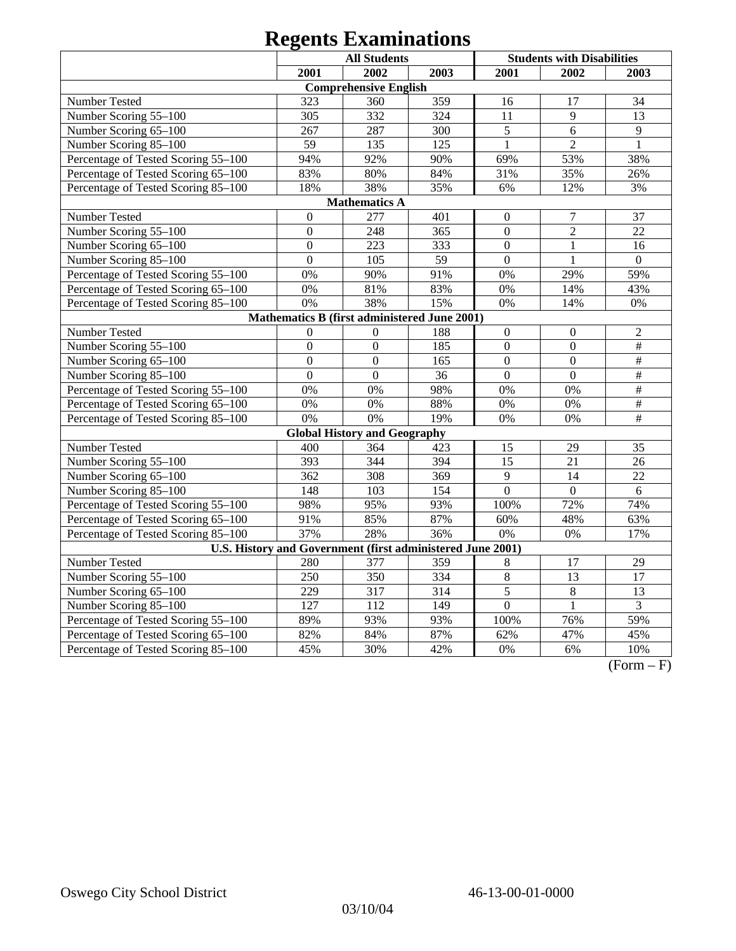|                                     |                  | <b>All Students</b>                                        |      |                  | <b>Students with Disabilities</b> |                 |
|-------------------------------------|------------------|------------------------------------------------------------|------|------------------|-----------------------------------|-----------------|
|                                     | 2001             | 2002                                                       | 2003 | 2001             | 2002                              | 2003            |
|                                     |                  | <b>Comprehensive English</b>                               |      |                  |                                   |                 |
| <b>Number Tested</b>                | 323              | 360                                                        | 359  | 16               | 17                                | 34              |
| Number Scoring 55-100               | 305              | 332                                                        | 324  | 11               | 9                                 | 13              |
| Number Scoring 65-100               | 267              | 287                                                        | 300  | 5                | 6                                 | $\overline{9}$  |
| Number Scoring 85-100               | 59               | 135                                                        | 125  | $\mathbf{1}$     | $\overline{2}$                    | $\mathbf{1}$    |
| Percentage of Tested Scoring 55-100 | 94%              | 92%                                                        | 90%  | 69%              | 53%                               | 38%             |
| Percentage of Tested Scoring 65-100 | 83%              | 80%                                                        | 84%  | 31%              | 35%                               | 26%             |
| Percentage of Tested Scoring 85-100 | 18%              | 38%                                                        | 35%  | 6%               | 12%                               | 3%              |
|                                     |                  | <b>Mathematics A</b>                                       |      |                  |                                   |                 |
| Number Tested                       | $\boldsymbol{0}$ | 277                                                        | 401  | $\boldsymbol{0}$ | $\tau$                            | 37              |
| Number Scoring 55-100               | $\overline{0}$   | 248                                                        | 365  | $\overline{0}$   | $\overline{2}$                    | 22              |
| Number Scoring 65-100               | $\boldsymbol{0}$ | 223                                                        | 333  | $\overline{0}$   | $\mathbf{1}$                      | 16              |
| Number Scoring 85-100               | $\overline{0}$   | 105                                                        | 59   | $\mathbf{0}$     | $\mathbf{1}$                      | $\mathbf{0}$    |
| Percentage of Tested Scoring 55-100 | 0%               | 90%                                                        | 91%  | 0%               | 29%                               | 59%             |
| Percentage of Tested Scoring 65-100 | 0%               | 81%                                                        | 83%  | 0%               | 14%                               | 43%             |
| Percentage of Tested Scoring 85-100 | 0%               | 38%                                                        | 15%  | 0%               | 14%                               | $0\%$           |
|                                     |                  | Mathematics B (first administered June 2001)               |      |                  |                                   |                 |
| Number Tested                       | $\overline{0}$   | $\mathbf{0}$                                               | 188  | $\boldsymbol{0}$ | $\mathbf{0}$                      | $\mathfrak{2}$  |
| Number Scoring 55-100               | $\overline{0}$   | $\overline{0}$                                             | 185  | $\mathbf{0}$     | $\overline{0}$                    | $\frac{1}{2}$   |
| Number Scoring 65-100               | $\overline{0}$   | $\overline{0}$                                             | 165  | $\overline{0}$   | $\overline{0}$                    | $\#$            |
| Number Scoring 85-100               | $\overline{0}$   | $\overline{0}$                                             | 36   | $\overline{0}$   | $\overline{0}$                    | #               |
| Percentage of Tested Scoring 55-100 | 0%               | 0%                                                         | 98%  | 0%               | 0%                                | $\overline{\#}$ |
| Percentage of Tested Scoring 65-100 | 0%               | 0%                                                         | 88%  | 0%               | 0%                                | $\overline{\#}$ |
| Percentage of Tested Scoring 85-100 | 0%               | 0%                                                         | 19%  | 0%               | 0%                                | $\#$            |
|                                     |                  | <b>Global History and Geography</b>                        |      |                  |                                   |                 |
| Number Tested                       | 400              | 364                                                        | 423  | 15               | 29                                | 35              |
| Number Scoring 55-100               | 393              | 344                                                        | 394  | $\overline{15}$  | 21                                | 26              |
| Number Scoring 65-100               | 362              | 308                                                        | 369  | 9                | 14                                | 22              |
| Number Scoring 85-100               | 148              | 103                                                        | 154  | $\overline{0}$   | $\mathbf{0}$                      | 6               |
| Percentage of Tested Scoring 55-100 | 98%              | 95%                                                        | 93%  | 100%             | 72%                               | 74%             |
| Percentage of Tested Scoring 65-100 | 91%              | 85%                                                        | 87%  | 60%              | 48%                               | 63%             |
| Percentage of Tested Scoring 85-100 | 37%              | 28%                                                        | 36%  | 0%               | 0%                                | 17%             |
|                                     |                  | U.S. History and Government (first administered June 2001) |      |                  |                                   |                 |
| Number Tested                       | 280              | 377                                                        | 359  | 8                | 17                                | 29              |
| Number Scoring 55-100               | 250              | $\overline{350}$                                           | 334  | $\overline{8}$   | $\overline{13}$                   | $\overline{17}$ |
| Number Scoring 65-100               | 229              | 317                                                        | 314  | $\overline{5}$   | $\overline{8}$                    | $\overline{13}$ |
| Number Scoring 85-100               | $\overline{127}$ | $\overline{112}$                                           | 149  | $\overline{0}$   | $\mathbf{1}$                      | $\overline{3}$  |
| Percentage of Tested Scoring 55-100 | 89%              | 93%                                                        | 93%  | 100%             | 76%                               | 59%             |
| Percentage of Tested Scoring 65-100 | 82%              | 84%                                                        | 87%  | 62%              | 47%                               | 45%             |
| Percentage of Tested Scoring 85-100 | 45%              | 30%                                                        | 42%  | 0%               | 6%                                | 10%             |

 $(Form - F)$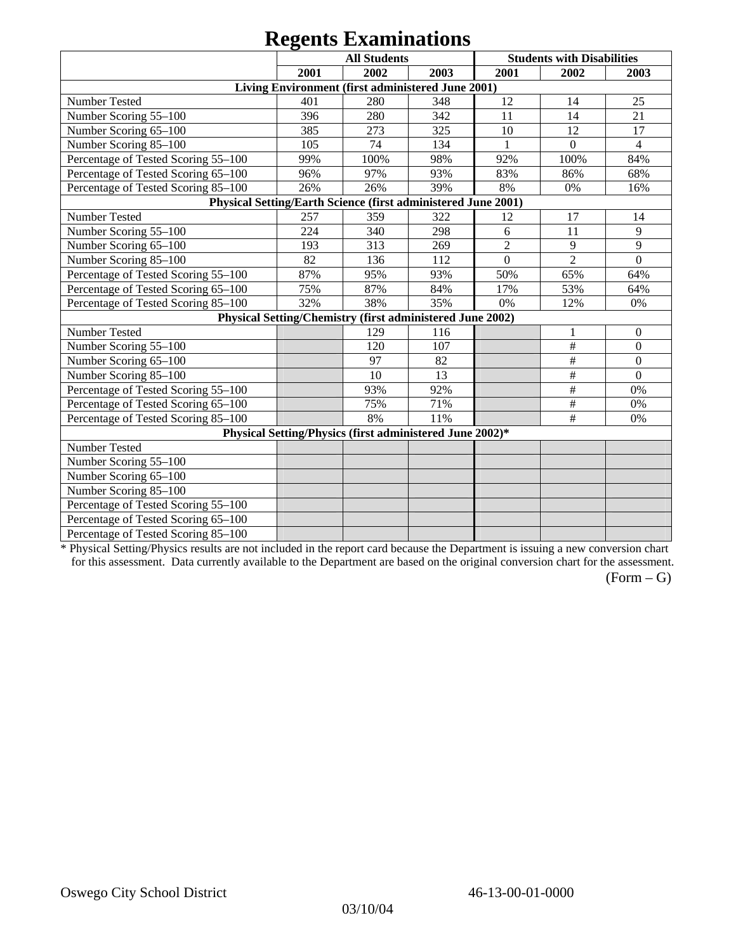|                                                               |      | $\sim$<br><b>All Students</b>                             |      |                | <b>Students with Disabilities</b> |                  |
|---------------------------------------------------------------|------|-----------------------------------------------------------|------|----------------|-----------------------------------|------------------|
|                                                               | 2001 | 2002                                                      | 2003 | 2001           | 2002                              | 2003             |
|                                                               |      | Living Environment (first administered June 2001)         |      |                |                                   |                  |
| Number Tested                                                 | 401  | 280                                                       | 348  | 12             | 14                                | 25               |
| Number Scoring 55-100                                         | 396  | 280                                                       | 342  | 11             | 14                                | 21               |
| Number Scoring 65-100                                         | 385  | 273                                                       | 325  | 10             | 12                                | 17               |
| Number Scoring 85-100                                         | 105  | 74                                                        | 134  |                | $\mathbf{0}$                      | $\overline{4}$   |
| Percentage of Tested Scoring 55-100                           | 99%  | 100%                                                      | 98%  | 92%            | 100%                              | 84%              |
| Percentage of Tested Scoring 65-100                           | 96%  | 97%                                                       | 93%  | 83%            | 86%                               | 68%              |
| Percentage of Tested Scoring 85-100                           | 26%  | 26%                                                       | 39%  | 8%             | 0%                                | 16%              |
| Physical Setting/Earth Science (first administered June 2001) |      |                                                           |      |                |                                   |                  |
| Number Tested                                                 | 257  | 359                                                       | 322  | 12             | 17                                | 14               |
| Number Scoring 55-100                                         | 224  | 340                                                       | 298  | 6              | 11                                | 9                |
| Number Scoring 65-100                                         | 193  | 313                                                       | 269  | $\overline{2}$ | 9                                 | 9                |
| Number Scoring 85-100                                         | 82   | 136                                                       | 112  | $\Omega$       | $\overline{2}$                    | $\Omega$         |
| Percentage of Tested Scoring 55-100                           | 87%  | 95%                                                       | 93%  | 50%            | 65%                               | 64%              |
| Percentage of Tested Scoring 65-100                           | 75%  | 87%                                                       | 84%  | 17%            | 53%                               | 64%              |
| Percentage of Tested Scoring 85-100                           | 32%  | 38%                                                       | 35%  | 0%             | 12%                               | 0%               |
|                                                               |      | Physical Setting/Chemistry (first administered June 2002) |      |                |                                   |                  |
| Number Tested                                                 |      | 129                                                       | 116  |                | 1                                 | $\overline{0}$   |
| Number Scoring 55-100                                         |      | 120                                                       | 107  |                | $\#$                              | $\boldsymbol{0}$ |
| Number Scoring 65-100                                         |      | 97                                                        | 82   |                | $\#$                              | $\mathbf{0}$     |
| Number Scoring 85-100                                         |      | 10                                                        | 13   |                | $\#$                              | $\mathbf{0}$     |
| Percentage of Tested Scoring 55-100                           |      | 93%                                                       | 92%  |                | $\#$                              | 0%               |
| Percentage of Tested Scoring 65-100                           |      | 75%                                                       | 71%  |                | $\#$                              | 0%               |
| Percentage of Tested Scoring 85-100                           |      | 8%                                                        | 11%  |                | #                                 | 0%               |
|                                                               |      | Physical Setting/Physics (first administered June 2002)*  |      |                |                                   |                  |
| Number Tested                                                 |      |                                                           |      |                |                                   |                  |
| Number Scoring 55-100                                         |      |                                                           |      |                |                                   |                  |
| Number Scoring 65-100                                         |      |                                                           |      |                |                                   |                  |
| Number Scoring 85-100                                         |      |                                                           |      |                |                                   |                  |
| Percentage of Tested Scoring 55-100                           |      |                                                           |      |                |                                   |                  |
| Percentage of Tested Scoring 65-100                           |      |                                                           |      |                |                                   |                  |
| Percentage of Tested Scoring 85-100                           |      |                                                           |      |                |                                   |                  |

\* Physical Setting/Physics results are not included in the report card because the Department is issuing a new conversion chart for this assessment. Data currently available to the Department are based on the original conversion chart for the assessment.

 $(Form - G)$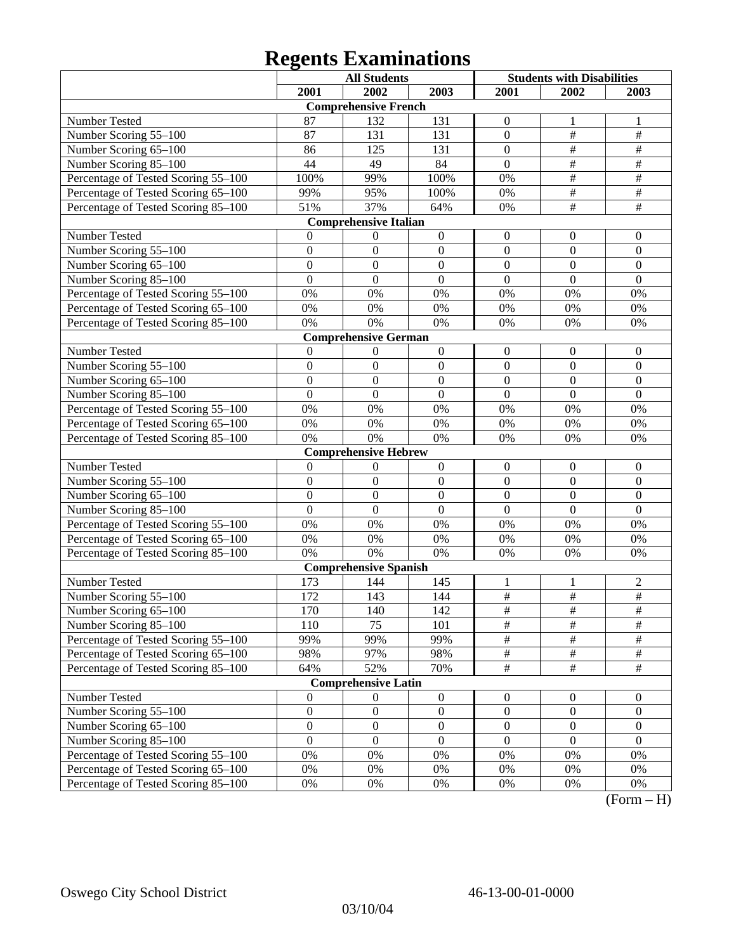|                                     |                  | <b>All Students</b>          |                  | <b>Students with Disabilities</b> |                           |                      |
|-------------------------------------|------------------|------------------------------|------------------|-----------------------------------|---------------------------|----------------------|
|                                     | 2001             | 2002                         | 2003             | 2001                              | 2002                      | 2003                 |
|                                     |                  | <b>Comprehensive French</b>  |                  |                                   |                           |                      |
| Number Tested                       | 87               | 132                          | 131              | $\theta$                          | 1                         |                      |
| Number Scoring 55-100               | 87               | 131                          | 131              | $\overline{0}$                    | $\#$                      | $\#$                 |
| Number Scoring 65-100               | 86               | 125                          | 131              | $\overline{0}$                    | $\#$                      | $\#$                 |
| Number Scoring 85-100               | 44               | 49                           | 84               | $\overline{0}$                    | $\#$                      | $\#$                 |
| Percentage of Tested Scoring 55-100 | 100%             | 99%                          | 100%             | 0%                                | $\overline{\#}$           | $\#$                 |
| Percentage of Tested Scoring 65-100 | 99%              | 95%                          | 100%             | 0%                                | $\overline{\overline{H}}$ | #                    |
| Percentage of Tested Scoring 85-100 | 51%              | 37%                          | 64%              | 0%                                | $\overline{\#}$           | $\overline{\#}$      |
|                                     |                  | <b>Comprehensive Italian</b> |                  |                                   |                           |                      |
| Number Tested                       | 0                | $\boldsymbol{0}$             | $\boldsymbol{0}$ | $\overline{0}$                    | $\theta$                  | $\boldsymbol{0}$     |
| Number Scoring 55-100               | $\boldsymbol{0}$ | $\mathbf{0}$                 | $\mathbf{0}$     | $\boldsymbol{0}$                  | $\overline{0}$            | $\boldsymbol{0}$     |
| Number Scoring 65-100               | $\boldsymbol{0}$ | $\boldsymbol{0}$             | $\mathbf{0}$     | $\overline{0}$                    | $\boldsymbol{0}$          | $\mathbf{0}$         |
| Number Scoring 85-100               | $\theta$         | $\Omega$                     | $\overline{0}$   | $\overline{0}$                    | $\theta$                  | $\overline{0}$       |
| Percentage of Tested Scoring 55-100 | 0%               | 0%                           | 0%               | 0%                                | 0%                        | 0%                   |
| Percentage of Tested Scoring 65-100 | 0%               | 0%                           | 0%               | 0%                                | 0%                        | 0%                   |
| Percentage of Tested Scoring 85-100 | 0%               | 0%                           | 0%               | 0%                                | 0%                        | 0%                   |
|                                     |                  | <b>Comprehensive German</b>  |                  |                                   |                           |                      |
| Number Tested                       | $\theta$         | $\boldsymbol{0}$             | $\boldsymbol{0}$ | $\overline{0}$                    | $\boldsymbol{0}$          | $\boldsymbol{0}$     |
| Number Scoring 55-100               | $\boldsymbol{0}$ | $\boldsymbol{0}$             | $\mathbf{0}$     | $\overline{0}$                    | $\boldsymbol{0}$          | $\mathbf{0}$         |
| Number Scoring 65-100               | $\boldsymbol{0}$ | $\boldsymbol{0}$             | $\mathbf{0}$     | $\overline{0}$                    | $\boldsymbol{0}$          | $\mathbf{0}$         |
| Number Scoring 85-100               | $\theta$         | $\Omega$                     | $\overline{0}$   | $\overline{0}$                    | $\theta$                  | $\overline{0}$       |
| Percentage of Tested Scoring 55-100 | 0%               | 0%                           | 0%               | 0%                                | 0%                        | 0%                   |
| Percentage of Tested Scoring 65-100 | 0%               | 0%                           | 0%               | 0%                                | 0%                        | 0%                   |
| Percentage of Tested Scoring 85-100 | 0%               | 0%                           | 0%               | 0%                                | 0%                        | 0%                   |
|                                     |                  | <b>Comprehensive Hebrew</b>  |                  |                                   |                           |                      |
| Number Tested                       | $\theta$         | $\boldsymbol{0}$             | $\boldsymbol{0}$ | $\boldsymbol{0}$                  | $\boldsymbol{0}$          | $\boldsymbol{0}$     |
| Number Scoring 55-100               | $\boldsymbol{0}$ | $\boldsymbol{0}$             | $\mathbf{0}$     | $\overline{0}$                    | $\boldsymbol{0}$          | $\mathbf{0}$         |
| Number Scoring 65-100               | $\overline{0}$   | $\boldsymbol{0}$             | $\overline{0}$   | $\overline{0}$                    | $\boldsymbol{0}$          | $\mathbf{0}$         |
| Number Scoring 85-100               | $\theta$         | $\Omega$                     | $\overline{0}$   | $\overline{0}$                    | $\theta$                  | $\overline{0}$       |
| Percentage of Tested Scoring 55-100 | 0%               | 0%                           | 0%               | 0%                                | 0%                        | 0%                   |
| Percentage of Tested Scoring 65-100 | 0%               | 0%                           | 0%               | 0%                                | 0%                        | 0%                   |
| Percentage of Tested Scoring 85-100 | 0%               | 0%                           | 0%               | 0%                                | 0%                        | 0%                   |
|                                     |                  | <b>Comprehensive Spanish</b> |                  |                                   |                           |                      |
| Number Tested                       | 173              | 144                          | 145              | 1                                 | 1                         | $\overline{c}$       |
| Number Scoring 55-100               | 172              | 143                          | 144              | $\#$                              | $\overline{\#}$           | $\overline{\#}$      |
| Number Scoring 65–100               | 170              | 140                          | 142              | $\#$                              | $\#$                      | $\#$                 |
| Number Scoring 85-100               | 110              | 75                           | 101              | $\overline{\#}$                   | $\overline{\#}$           | $\overline{\#}$      |
| Percentage of Tested Scoring 55-100 | 99%              | 99%                          | 99%              | $\#$                              | $\#$                      | $\#$                 |
| Percentage of Tested Scoring 65-100 | 98%              | 97%                          | 98%              | $\#$                              | $\#$                      | $\#$                 |
| Percentage of Tested Scoring 85-100 | 64%              | 52%                          | 70%              | $\#$                              | $\#$                      | $\#$                 |
|                                     |                  | <b>Comprehensive Latin</b>   |                  |                                   |                           |                      |
| Number Tested                       | $\boldsymbol{0}$ | $\boldsymbol{0}$             | $\boldsymbol{0}$ | $\boldsymbol{0}$                  | $\boldsymbol{0}$          | $\boldsymbol{0}$     |
| Number Scoring 55-100               | $\boldsymbol{0}$ | $\boldsymbol{0}$             | $\boldsymbol{0}$ | $\boldsymbol{0}$                  | $\boldsymbol{0}$          | $\boldsymbol{0}$     |
| Number Scoring 65-100               | $\boldsymbol{0}$ | $\boldsymbol{0}$             | $\boldsymbol{0}$ | $\boldsymbol{0}$                  | $\boldsymbol{0}$          | $\boldsymbol{0}$     |
| Number Scoring 85-100               | $\boldsymbol{0}$ | $\overline{0}$               | $\mathbf{0}$     | $\Omega$                          | $\overline{0}$            | $\theta$             |
| Percentage of Tested Scoring 55-100 | 0%               | 0%                           | $0\%$            | 0%                                | 0%                        | 0%                   |
| Percentage of Tested Scoring 65-100 | 0%               | 0%                           | 0%               | 0%                                | 0%                        | 0%                   |
| Percentage of Tested Scoring 85-100 | 0%               | 0%                           | 0%               | 0%                                | 0%                        | 0%<br>$\mathbf \tau$ |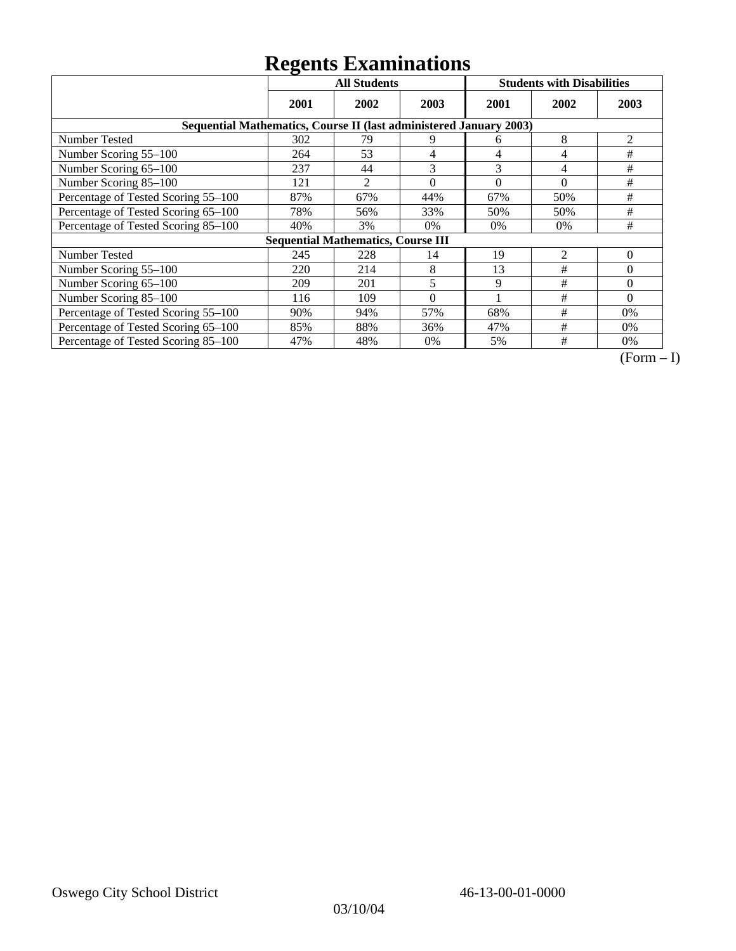|                                                                    | ັ<br><b>All Students</b> |                                           |          |          | <b>Students with Disabilities</b> |          |
|--------------------------------------------------------------------|--------------------------|-------------------------------------------|----------|----------|-----------------------------------|----------|
|                                                                    | 2001                     | 2002                                      | 2003     | 2001     | 2002                              | 2003     |
| Sequential Mathematics, Course II (last administered January 2003) |                          |                                           |          |          |                                   |          |
| <b>Number Tested</b>                                               | 302                      | 79                                        | 9        | 6        | 8                                 | 2        |
| Number Scoring 55-100                                              | 264                      | 53                                        | 4        | 4        | 4                                 | #        |
| Number Scoring 65-100                                              | 237                      | 44                                        | 3        | 3        | 4                                 | #        |
| Number Scoring 85-100                                              | 121                      | $\overline{c}$                            | $\Omega$ | $\theta$ | $\theta$                          | #        |
| Percentage of Tested Scoring 55-100                                | 87%                      | 67%                                       | 44%      | 67%      | 50%                               | $\#$     |
| Percentage of Tested Scoring 65-100                                | 78%                      | 56%                                       | 33%      | 50%      | 50%                               | #        |
| Percentage of Tested Scoring 85-100                                | 40%                      | 3%                                        | $0\%$    | $0\%$    | $0\%$                             | #        |
|                                                                    |                          | <b>Sequential Mathematics, Course III</b> |          |          |                                   |          |
| Number Tested                                                      | 245                      | 228                                       | 14       | 19       | $\overline{2}$                    | $\theta$ |
| Number Scoring 55–100                                              | 220                      | 214                                       | 8        | 13       | #                                 | $\Omega$ |
| Number Scoring 65-100                                              | 209                      | 201                                       | 5        | 9        | #                                 | $\Omega$ |
| Number Scoring 85-100                                              | 116                      | 109                                       | $\Omega$ |          | #                                 | $\Omega$ |
| Percentage of Tested Scoring 55-100                                | 90%                      | 94%                                       | 57%      | 68%      | #                                 | 0%       |
| Percentage of Tested Scoring 65-100                                | 85%                      | 88%                                       | 36%      | 47%      | #                                 | $0\%$    |
| Percentage of Tested Scoring 85-100                                | 47%                      | 48%                                       | $0\%$    | 5%       | #                                 | $0\%$    |

 $\overline{(Form-I)}$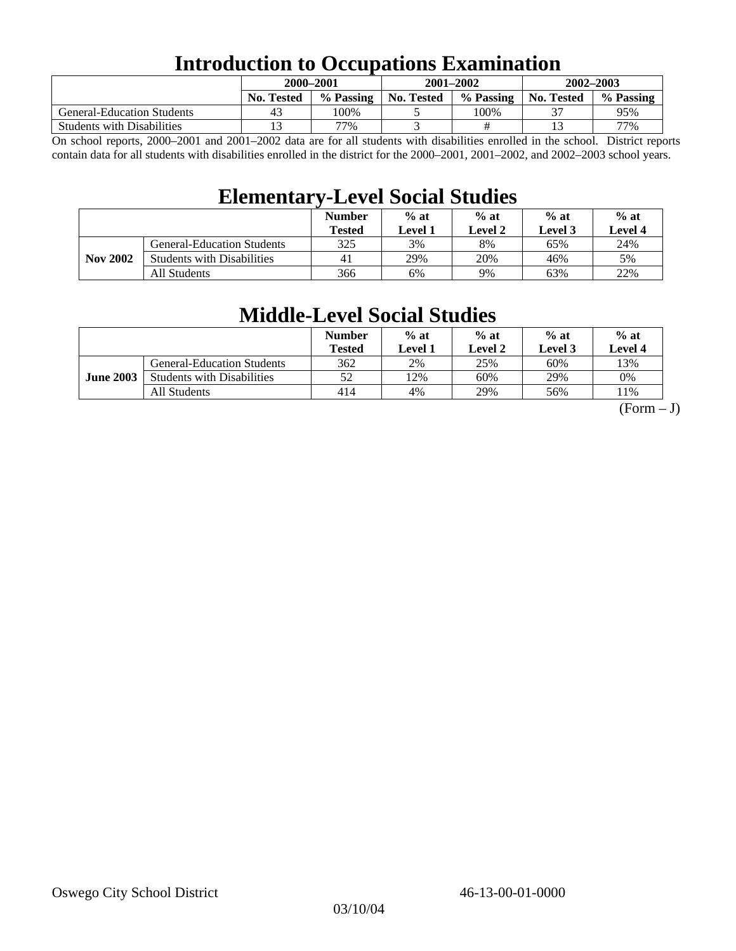## **Introduction to Occupations Examination**

|                                   |                   | 2000-2001 | 2001-2002  |           | $2002 - 2003$     |           |  |
|-----------------------------------|-------------------|-----------|------------|-----------|-------------------|-----------|--|
|                                   | <b>No. Tested</b> | % Passing | No. Tested | % Passing | <b>No. Tested</b> | % Passing |  |
| <b>General-Education Students</b> | 43                | 100%      |            | 100%      | <u>__</u>         | 95%       |  |
| <b>Students with Disabilities</b> |                   | 77%       |            |           |                   | 77%       |  |

On school reports, 2000–2001 and 2001–2002 data are for all students with disabilities enrolled in the school. District reports contain data for all students with disabilities enrolled in the district for the 2000–2001, 2001–2002, and 2002–2003 school years.

## **Elementary-Level Social Studies**

|                 |                                   | <b>Number</b><br>Tested | $%$ at<br>Level 1 | $%$ at<br>$%$ at<br>Level 3<br>Level 2 |     | $%$ at<br>Level 4 |
|-----------------|-----------------------------------|-------------------------|-------------------|----------------------------------------|-----|-------------------|
| <b>Nov 2002</b> | <b>General-Education Students</b> | 325                     | 3%                | 8%                                     | 65% | 24%               |
|                 | <b>Students with Disabilities</b> | 41                      | 29%               | 20%                                    | 46% | 5%                |
|                 | All Students                      | 366                     | 6%                | 9%                                     | 63% | 22%               |

## **Middle-Level Social Studies**

|                  |                                   | <b>Number</b><br>Tested | $%$ at<br>Level 1 | $%$ at<br>Level 2 | $%$ at<br>Level 3 | $%$ at<br>Level 4 |
|------------------|-----------------------------------|-------------------------|-------------------|-------------------|-------------------|-------------------|
| <b>June 2003</b> | <b>General-Education Students</b> | 362                     | 2%                | 25%               | 60%               | 13%               |
|                  | <b>Students with Disabilities</b> | 52                      | 12%               | 60%               | 29%               | 0%                |
|                  | All Students                      | 414                     | 4%                | 29%               | 56%               | 1%                |

 $(Form - J)$